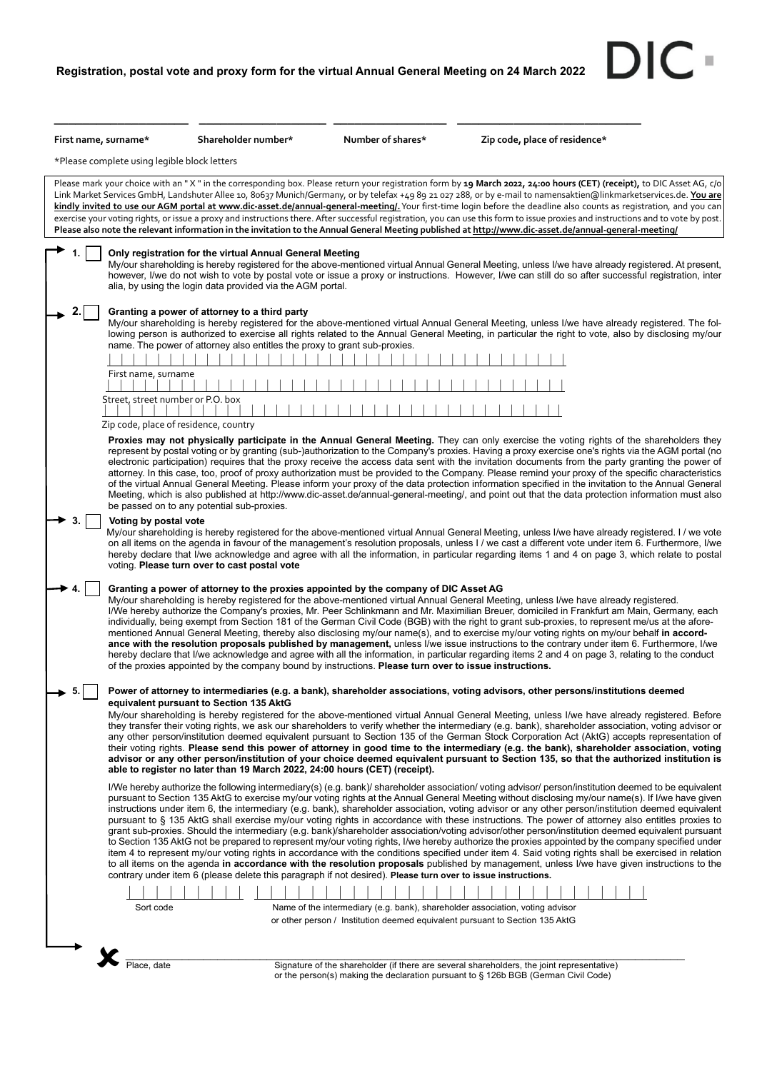DIC-

| First name, surname*                                                                                                                                                                                                                                                                                                                                                                                                                                                                                                                                                                                                                                                                                                                                                                                                                                                                                                                                                                                                                                                                                                                                                                                                                                                                                                                                | Shareholder number*                                                                                                                                                                            | Number of shares* | Zip code, place of residence*                                                                                                                                                                                                                                                                                                                                                                                                                                                                                                                                                                                                                                                                                                                                                                                                                                                                                           |  |  |  |
|-----------------------------------------------------------------------------------------------------------------------------------------------------------------------------------------------------------------------------------------------------------------------------------------------------------------------------------------------------------------------------------------------------------------------------------------------------------------------------------------------------------------------------------------------------------------------------------------------------------------------------------------------------------------------------------------------------------------------------------------------------------------------------------------------------------------------------------------------------------------------------------------------------------------------------------------------------------------------------------------------------------------------------------------------------------------------------------------------------------------------------------------------------------------------------------------------------------------------------------------------------------------------------------------------------------------------------------------------------|------------------------------------------------------------------------------------------------------------------------------------------------------------------------------------------------|-------------------|-------------------------------------------------------------------------------------------------------------------------------------------------------------------------------------------------------------------------------------------------------------------------------------------------------------------------------------------------------------------------------------------------------------------------------------------------------------------------------------------------------------------------------------------------------------------------------------------------------------------------------------------------------------------------------------------------------------------------------------------------------------------------------------------------------------------------------------------------------------------------------------------------------------------------|--|--|--|
| *Please complete using legible block letters                                                                                                                                                                                                                                                                                                                                                                                                                                                                                                                                                                                                                                                                                                                                                                                                                                                                                                                                                                                                                                                                                                                                                                                                                                                                                                        |                                                                                                                                                                                                |                   |                                                                                                                                                                                                                                                                                                                                                                                                                                                                                                                                                                                                                                                                                                                                                                                                                                                                                                                         |  |  |  |
|                                                                                                                                                                                                                                                                                                                                                                                                                                                                                                                                                                                                                                                                                                                                                                                                                                                                                                                                                                                                                                                                                                                                                                                                                                                                                                                                                     |                                                                                                                                                                                                |                   | Please mark your choice with an "X" in the corresponding box. Please return your registration form by 19 March 2022, 24:00 hours (CET) (receipt), to DIC Asset AG, c/o<br>Link Market Services GmbH, Landshuter Allee 10, 80637 Munich/Germany, or by telefax +49 89 21 027 288, or by e-mail to namensaktien@linkmarketservices.de. You are<br>kindly invited to use our AGM portal at www.dic-asset.de/annual-general-meeting/. Your first-time login before the deadline also counts as registration, and you can<br>exercise your voting rights, or issue a proxy and instructions there. After successful registration, you can use this form to issue proxies and instructions and to vote by post.<br>Please also note the relevant information in the invitation to the Annual General Meeting published at http://www.dic-asset.de/annual-general-meeting/                                                     |  |  |  |
|                                                                                                                                                                                                                                                                                                                                                                                                                                                                                                                                                                                                                                                                                                                                                                                                                                                                                                                                                                                                                                                                                                                                                                                                                                                                                                                                                     | Only registration for the virtual Annual General Meeting<br>alia, by using the login data provided via the AGM portal.                                                                         |                   | My/our shareholding is hereby registered for the above-mentioned virtual Annual General Meeting, unless I/we have already registered. At present,<br>however, I/we do not wish to vote by postal vote or issue a proxy or instructions. However, I/we can still do so after successful registration, inter                                                                                                                                                                                                                                                                                                                                                                                                                                                                                                                                                                                                              |  |  |  |
|                                                                                                                                                                                                                                                                                                                                                                                                                                                                                                                                                                                                                                                                                                                                                                                                                                                                                                                                                                                                                                                                                                                                                                                                                                                                                                                                                     | Granting a power of attorney to a third party<br>name. The power of attorney also entitles the proxy to grant sub-proxies.                                                                     |                   | My/our shareholding is hereby registered for the above-mentioned virtual Annual General Meeting, unless I/we have already registered. The fol-<br>lowing person is authorized to exercise all rights related to the Annual General Meeting, in particular the right to vote, also by disclosing my/our                                                                                                                                                                                                                                                                                                                                                                                                                                                                                                                                                                                                                  |  |  |  |
|                                                                                                                                                                                                                                                                                                                                                                                                                                                                                                                                                                                                                                                                                                                                                                                                                                                                                                                                                                                                                                                                                                                                                                                                                                                                                                                                                     |                                                                                                                                                                                                |                   |                                                                                                                                                                                                                                                                                                                                                                                                                                                                                                                                                                                                                                                                                                                                                                                                                                                                                                                         |  |  |  |
| First name, surname                                                                                                                                                                                                                                                                                                                                                                                                                                                                                                                                                                                                                                                                                                                                                                                                                                                                                                                                                                                                                                                                                                                                                                                                                                                                                                                                 |                                                                                                                                                                                                |                   |                                                                                                                                                                                                                                                                                                                                                                                                                                                                                                                                                                                                                                                                                                                                                                                                                                                                                                                         |  |  |  |
| Street, street number or P.O. box<br>Zip code, place of residence, country                                                                                                                                                                                                                                                                                                                                                                                                                                                                                                                                                                                                                                                                                                                                                                                                                                                                                                                                                                                                                                                                                                                                                                                                                                                                          |                                                                                                                                                                                                |                   |                                                                                                                                                                                                                                                                                                                                                                                                                                                                                                                                                                                                                                                                                                                                                                                                                                                                                                                         |  |  |  |
|                                                                                                                                                                                                                                                                                                                                                                                                                                                                                                                                                                                                                                                                                                                                                                                                                                                                                                                                                                                                                                                                                                                                                                                                                                                                                                                                                     | be passed on to any potential sub-proxies.                                                                                                                                                     |                   | Proxies may not physically participate in the Annual General Meeting. They can only exercise the voting rights of the shareholders they<br>represent by postal voting or by granting (sub-)authorization to the Company's proxies. Having a proxy exercise one's rights via the AGM portal (no<br>electronic participation) requires that the proxy receive the access data sent with the invitation documents from the party granting the power of<br>attorney. In this case, too, proof of proxy authorization must be provided to the Company. Please remind your proxy of the specific characteristics<br>of the virtual Annual General Meeting. Please inform your proxy of the data protection information specified in the invitation to the Annual General<br>Meeting, which is also published at http://www.dic-asset.de/annual-general-meeting/, and point out that the data protection information must also |  |  |  |
| Voting by postal vote                                                                                                                                                                                                                                                                                                                                                                                                                                                                                                                                                                                                                                                                                                                                                                                                                                                                                                                                                                                                                                                                                                                                                                                                                                                                                                                               | voting. Please turn over to cast postal vote                                                                                                                                                   |                   | My/our shareholding is hereby registered for the above-mentioned virtual Annual General Meeting, unless I/we have already registered. I/we vote<br>on all items on the agenda in favour of the management's resolution proposals, unless I / we cast a different vote under item 6. Furthermore, I/we<br>hereby declare that I/we acknowledge and agree with all the information, in particular regarding items 1 and 4 on page 3, which relate to postal                                                                                                                                                                                                                                                                                                                                                                                                                                                               |  |  |  |
|                                                                                                                                                                                                                                                                                                                                                                                                                                                                                                                                                                                                                                                                                                                                                                                                                                                                                                                                                                                                                                                                                                                                                                                                                                                                                                                                                     | Granting a power of attorney to the proxies appointed by the company of DIC Asset AG<br>of the proxies appointed by the company bound by instructions. Please turn over to issue instructions. |                   | My/our shareholding is hereby registered for the above-mentioned virtual Annual General Meeting, unless I/we have already registered.<br>I/We hereby authorize the Company's proxies, Mr. Peer Schlinkmann and Mr. Maximilian Breuer, domiciled in Frankfurt am Main, Germany, each<br>individually, being exempt from Section 181 of the German Civil Code (BGB) with the right to grant sub-proxies, to represent me/us at the afore-<br>mentioned Annual General Meeting, thereby also disclosing my/our name(s), and to exercise my/our voting rights on my/our behalf in accord-<br>ance with the resolution proposals published by management, unless I/we issue instructions to the contrary under item 6. Furthermore, I/we<br>hereby declare that I/we acknowledge and agree with all the information, in particular regarding items 2 and 4 on page 3, relating to the conduct                                |  |  |  |
| 5.                                                                                                                                                                                                                                                                                                                                                                                                                                                                                                                                                                                                                                                                                                                                                                                                                                                                                                                                                                                                                                                                                                                                                                                                                                                                                                                                                  | equivalent pursuant to Section 135 AktG<br>able to register no later than 19 March 2022, 24:00 hours (CET) (receipt).                                                                          |                   | Power of attorney to intermediaries (e.g. a bank), shareholder associations, voting advisors, other persons/institutions deemed<br>My/our shareholding is hereby registered for the above-mentioned virtual Annual General Meeting, unless I/we have already registered. Before<br>they transfer their voting rights, we ask our shareholders to verify whether the intermediary (e.g. bank), shareholder association, voting advisor or<br>any other person/institution deemed equivalent pursuant to Section 135 of the German Stock Corporation Act (AktG) accepts representation of<br>their voting rights. Please send this power of attorney in good time to the intermediary (e.g. the bank), shareholder association, voting<br>advisor or any other person/institution of your choice deemed equivalent pursuant to Section 135, so that the authorized institution is                                         |  |  |  |
| I/We hereby authorize the following intermediary(s) (e.g. bank)/ shareholder association/ voting advisor/ person/institution deemed to be equivalent<br>pursuant to Section 135 AktG to exercise my/our voting rights at the Annual General Meeting without disclosing my/our name(s). If I/we have given<br>instructions under item 6, the intermediary (e.g. bank), shareholder association, voting advisor or any other person/institution deemed equivalent<br>pursuant to § 135 AktG shall exercise my/our voting rights in accordance with these instructions. The power of attorney also entitles proxies to<br>grant sub-proxies. Should the intermediary (e.g. bank)/shareholder association/voting advisor/other person/institution deemed equivalent pursuant<br>to Section 135 AktG not be prepared to represent my/our voting rights, I/we hereby authorize the proxies appointed by the company specified under<br>item 4 to represent my/our voting rights in accordance with the conditions specified under item 4. Said voting rights shall be exercised in relation<br>to all items on the agenda in accordance with the resolution proposals published by management, unless I/we have given instructions to the<br>contrary under item 6 (please delete this paragraph if not desired). Please turn over to issue instructions. |                                                                                                                                                                                                |                   |                                                                                                                                                                                                                                                                                                                                                                                                                                                                                                                                                                                                                                                                                                                                                                                                                                                                                                                         |  |  |  |
|                                                                                                                                                                                                                                                                                                                                                                                                                                                                                                                                                                                                                                                                                                                                                                                                                                                                                                                                                                                                                                                                                                                                                                                                                                                                                                                                                     |                                                                                                                                                                                                |                   |                                                                                                                                                                                                                                                                                                                                                                                                                                                                                                                                                                                                                                                                                                                                                                                                                                                                                                                         |  |  |  |
| Sort code                                                                                                                                                                                                                                                                                                                                                                                                                                                                                                                                                                                                                                                                                                                                                                                                                                                                                                                                                                                                                                                                                                                                                                                                                                                                                                                                           |                                                                                                                                                                                                |                   | Name of the intermediary (e.g. bank), shareholder association, voting advisor<br>or other person / Institution deemed equivalent pursuant to Section 135 AktG                                                                                                                                                                                                                                                                                                                                                                                                                                                                                                                                                                                                                                                                                                                                                           |  |  |  |
|                                                                                                                                                                                                                                                                                                                                                                                                                                                                                                                                                                                                                                                                                                                                                                                                                                                                                                                                                                                                                                                                                                                                                                                                                                                                                                                                                     |                                                                                                                                                                                                |                   |                                                                                                                                                                                                                                                                                                                                                                                                                                                                                                                                                                                                                                                                                                                                                                                                                                                                                                                         |  |  |  |
|                                                                                                                                                                                                                                                                                                                                                                                                                                                                                                                                                                                                                                                                                                                                                                                                                                                                                                                                                                                                                                                                                                                                                                                                                                                                                                                                                     |                                                                                                                                                                                                |                   |                                                                                                                                                                                                                                                                                                                                                                                                                                                                                                                                                                                                                                                                                                                                                                                                                                                                                                                         |  |  |  |

Place, date<br>Place, date are several shareholders, the joint representative)<br>or the person(s) making the declaration pursuant to § 126b BGB (German Civil Code)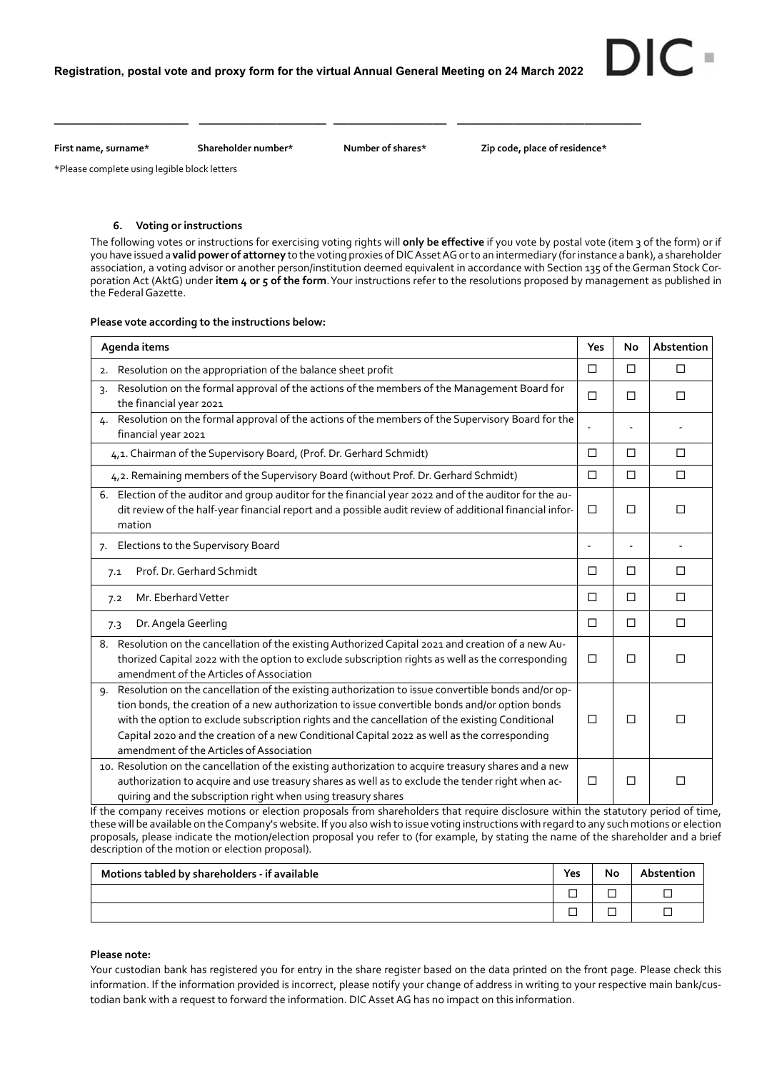**\_\_\_\_\_\_\_\_\_\_\_\_\_\_\_\_\_\_\_ \_\_\_\_\_\_\_\_\_\_\_\_\_\_\_\_\_\_ \_\_\_\_\_\_\_\_\_\_\_\_\_\_\_\_ \_\_\_\_\_\_\_\_\_\_\_\_\_\_\_\_\_\_\_\_\_\_\_\_\_\_** 

First name, surname\* Shareholder number\* Number of shares\* Zip code, place of residence\*

DIC

\*Please complete using legible block letters

## **6. Voting or instructions**

The following votes or instructions for exercising voting rights will **only be effective** if you vote by postal vote (item 3 of the form) or if you have issued a **valid power of attorney** to the voting proxies of DIC Asset AG or to an intermediary (for instance a bank), a shareholder association, a voting advisor or another person/institution deemed equivalent in accordance with Section 135 of the German Stock Corporation Act (AktG) under **item 4 or 5 of the form**. Your instructions refer to the resolutions proposed by management as published in the Federal Gazette.

# **Please vote according to the instructions below:**

| Agenda items                                                                                                                                                                                                                                                                                                                                                                                                                                              |                | <b>No</b> | Abstention |
|-----------------------------------------------------------------------------------------------------------------------------------------------------------------------------------------------------------------------------------------------------------------------------------------------------------------------------------------------------------------------------------------------------------------------------------------------------------|----------------|-----------|------------|
| Resolution on the appropriation of the balance sheet profit<br>2.                                                                                                                                                                                                                                                                                                                                                                                         |                | П         | П          |
| Resolution on the formal approval of the actions of the members of the Management Board for<br>$\mathsf{R}$<br>the financial year 2021                                                                                                                                                                                                                                                                                                                    |                | □         | П          |
| Resolution on the formal approval of the actions of the members of the Supervisory Board for the<br>4.<br>financial year 2021                                                                                                                                                                                                                                                                                                                             |                |           |            |
| 4,1. Chairman of the Supervisory Board, (Prof. Dr. Gerhard Schmidt)                                                                                                                                                                                                                                                                                                                                                                                       |                | $\Box$    | $\Box$     |
| 4,2. Remaining members of the Supervisory Board (without Prof. Dr. Gerhard Schmidt)                                                                                                                                                                                                                                                                                                                                                                       | □              | $\Box$    | П          |
| Election of the auditor and group auditor for the financial year 2022 and of the auditor for the au-<br>6.<br>dit review of the half-year financial report and a possible audit review of additional financial infor-<br>mation                                                                                                                                                                                                                           | $\Box$         | □         | П          |
| Elections to the Supervisory Board<br>7.                                                                                                                                                                                                                                                                                                                                                                                                                  | $\overline{a}$ |           |            |
| Prof. Dr. Gerhard Schmidt<br>7.1                                                                                                                                                                                                                                                                                                                                                                                                                          | □              | □         | □          |
| Mr. Eberhard Vetter<br>7.2                                                                                                                                                                                                                                                                                                                                                                                                                                | □              | $\Box$    | $\Box$     |
| Dr. Angela Geerling<br>7.3                                                                                                                                                                                                                                                                                                                                                                                                                                | $\Box$         | $\Box$    | $\Box$     |
| Resolution on the cancellation of the existing Authorized Capital 2021 and creation of a new Au-<br>8.<br>thorized Capital 2022 with the option to exclude subscription rights as well as the corresponding<br>amendment of the Articles of Association                                                                                                                                                                                                   | □              | □         | □          |
| Resolution on the cancellation of the existing authorization to issue convertible bonds and/or op-<br>9.<br>tion bonds, the creation of a new authorization to issue convertible bonds and/or option bonds<br>with the option to exclude subscription rights and the cancellation of the existing Conditional<br>Capital 2020 and the creation of a new Conditional Capital 2022 as well as the corresponding<br>amendment of the Articles of Association | □              | □         | П          |
| 10. Resolution on the cancellation of the existing authorization to acquire treasury shares and a new<br>authorization to acquire and use treasury shares as well as to exclude the tender right when ac-<br>quiring and the subscription right when using treasury shares                                                                                                                                                                                | □              | $\Box$    | □          |

If the company receives motions or election proposals from shareholders that require disclosure within the statutory period of time, these will be available on the Company's website. If you also wish to issue voting instructions with regard to any such motions or election proposals, please indicate the motion/election proposal you refer to (for example, by stating the name of the shareholder and a brief description of the motion or election proposal).

| Motions tabled by shareholders - if available |        | No | Abstention |
|-----------------------------------------------|--------|----|------------|
|                                               | –<br>ـ |    |            |
|                                               | –      |    |            |

## **Please note:**

Your custodian bank has registered you for entry in the share register based on the data printed on the front page. Please check this information. If the information provided is incorrect, please notify your change of address in writing to your respective main bank/custodian bank with a request to forward the information. DIC Asset AG has no impact on this information.